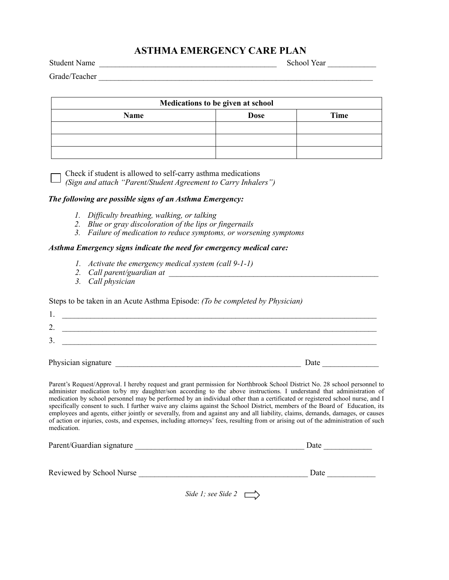# **ASTHMA EMERGENCY CARE PLAN**

Student Name \_\_\_\_\_\_\_\_\_\_\_\_\_\_\_\_\_\_\_\_\_\_\_\_\_\_\_\_\_\_\_\_\_\_\_\_\_\_\_\_\_\_\_\_ School Year \_\_\_\_\_\_\_\_\_\_\_\_

Grade/Teacher \_\_\_\_\_\_\_\_\_\_\_\_\_\_\_\_\_\_\_\_\_\_\_\_\_\_\_\_\_\_\_\_\_\_\_\_\_\_\_\_\_\_\_\_\_\_\_\_\_\_\_\_\_\_\_\_\_\_\_\_\_\_\_\_\_\_\_\_

| Medications to be given at school |             |      |  |  |
|-----------------------------------|-------------|------|--|--|
| Name                              | <b>Dose</b> | Time |  |  |
|                                   |             |      |  |  |
|                                   |             |      |  |  |
|                                   |             |      |  |  |

Check if student is allowed to self-carry asthma medications

*(Sign and attach "Parent/Student Agreement to Carry Inhalers")* 

## *The following are possible signs of an Asthma Emergency:*

- *1. Difficulty breathing, walking, or talking*
- *2. Blue or gray discoloration of the lips or fingernails*
- *3. Failure of medication to reduce symptoms, or worsening symptoms*

#### *Asthma Emergency signs indicate the need for emergency medical care:*

- *1. Activate the emergency medical system (call 9-1-1)*
- *2. Call parent/guardian at \_\_\_\_\_\_\_\_\_\_\_\_\_\_\_\_\_\_\_\_\_\_\_\_\_\_\_\_\_\_\_\_\_\_\_\_\_\_\_\_\_\_\_\_\_\_\_\_\_\_\_\_*
- *3. Call physician*

## Steps to be taken in an Acute Asthma Episode: *(To be completed by Physician)*

| Physician signature | Date |
|---------------------|------|
| 3.                  |      |
| C<br>∸              |      |
|                     |      |
| . .                 |      |

 Parent's Request/Approval. I hereby request and grant permission for Northbrook School District No. 28 school personnel to administer medication to/by my daughter/son according to the above instructions. I understand that administration of medication by school personnel may be performed by an individual other than a certificated or registered school nurse, and I specifically consent to such. I further waive any claims against the School District, members of the Board of Education, its

 employees and agents, either jointly or severally, from and against any and all liability, claims, demands, damages, or causes of action or injuries, costs, and expenses, including attorneys' fees, resulting from or arising out of the administration of such medication.

| Parent/Guardian signature | Date |  |
|---------------------------|------|--|
| Reviewed by School Nurse  | Date |  |

*Side 1; see Side 2*